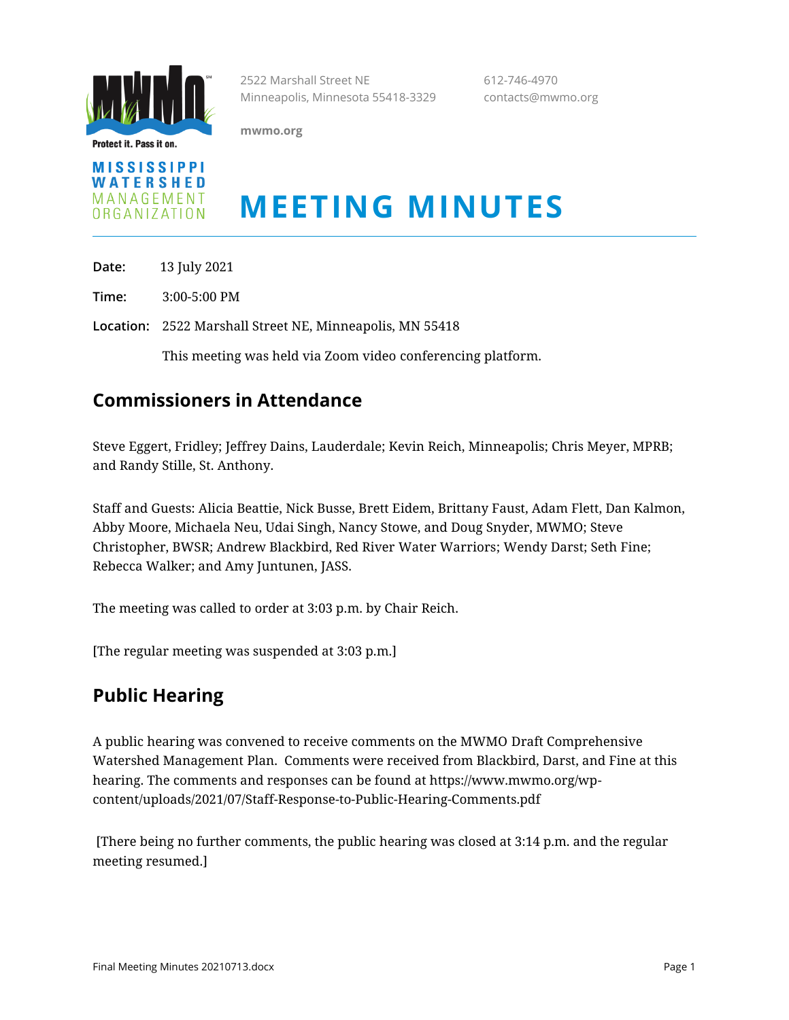

Protect it. Pass it on.

2522 Marshall Street NE 612-746-4970 Minneapolis, Minnesota 55418-3329 contacts@mwmo.org

**mwmo.org**



# **MEETING MINUTES**

**Date:** 13 July 2021

**Time:** 3:00-5:00 PM

**Location:** 2522 Marshall Street NE, Minneapolis, MN 55418

This meeting was held via Zoom video conferencing platform.

## **Commissioners in Attendance**

Steve Eggert, Fridley; Jeffrey Dains, Lauderdale; Kevin Reich, Minneapolis; Chris Meyer, MPRB; and Randy Stille, St. Anthony.

Staff and Guests: Alicia Beattie, Nick Busse, Brett Eidem, Brittany Faust, Adam Flett, Dan Kalmon, Abby Moore, Michaela Neu, Udai Singh, Nancy Stowe, and Doug Snyder, MWMO; Steve Christopher, BWSR; Andrew Blackbird, Red River Water Warriors; Wendy Darst; Seth Fine; Rebecca Walker; and Amy Juntunen, JASS.

The meeting was called to order at 3:03 p.m. by Chair Reich.

[The regular meeting was suspended at 3:03 p.m.]

# **Public Hearing**

A public hearing was convened to receive comments on the MWMO Draft Comprehensive Watershed Management Plan. Comments were received from Blackbird, Darst, and Fine at this hearing. The comments and responses can be found at https://www.mwmo.org/wpcontent/uploads/2021/07/Staff-Response-to-Public-Hearing-Comments.pdf

[There being no further comments, the public hearing was closed at 3:14 p.m. and the regular meeting resumed.]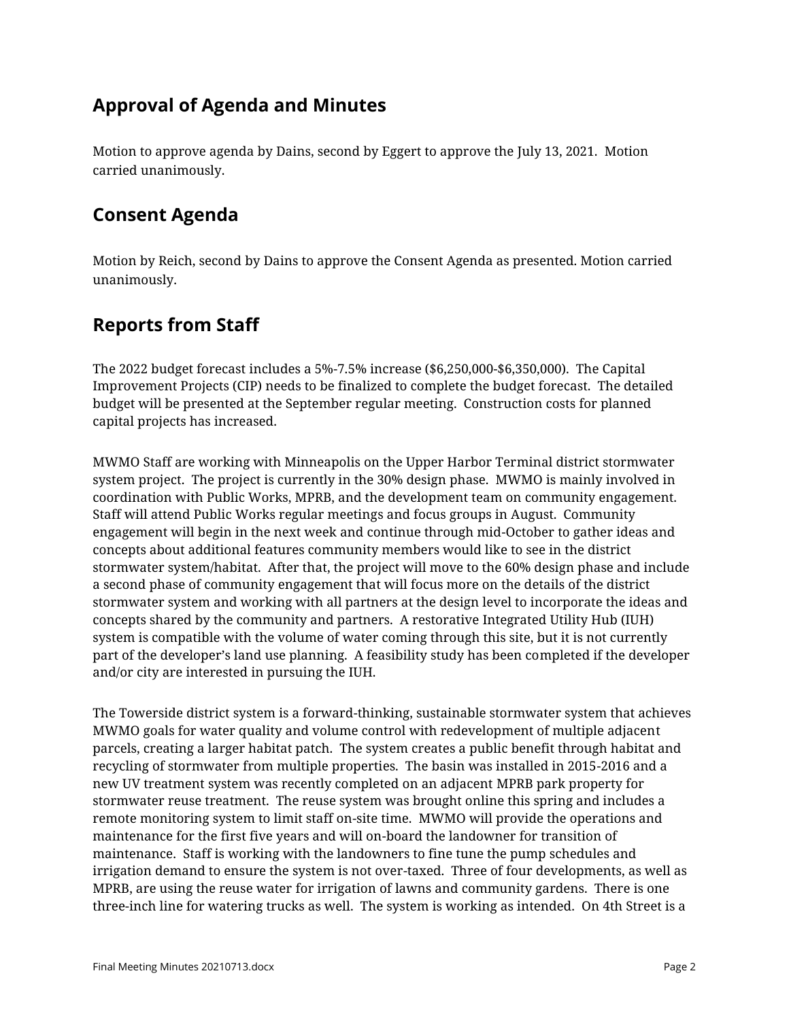# **Approval of Agenda and Minutes**

Motion to approve agenda by Dains, second by Eggert to approve the July 13, 2021. Motion carried unanimously.

## **Consent Agenda**

Motion by Reich, second by Dains to approve the Consent Agenda as presented. Motion carried unanimously.

# **Reports from Staff**

The 2022 budget forecast includes a 5%-7.5% increase (\$6,250,000-\$6,350,000). The Capital Improvement Projects (CIP) needs to be finalized to complete the budget forecast. The detailed budget will be presented at the September regular meeting. Construction costs for planned capital projects has increased.

MWMO Staff are working with Minneapolis on the Upper Harbor Terminal district stormwater system project. The project is currently in the 30% design phase. MWMO is mainly involved in coordination with Public Works, MPRB, and the development team on community engagement. Staff will attend Public Works regular meetings and focus groups in August. Community engagement will begin in the next week and continue through mid-October to gather ideas and concepts about additional features community members would like to see in the district stormwater system/habitat. After that, the project will move to the 60% design phase and include a second phase of community engagement that will focus more on the details of the district stormwater system and working with all partners at the design level to incorporate the ideas and concepts shared by the community and partners. A restorative Integrated Utility Hub (IUH) system is compatible with the volume of water coming through this site, but it is not currently part of the developer's land use planning. A feasibility study has been completed if the developer and/or city are interested in pursuing the IUH.

The Towerside district system is a forward-thinking, sustainable stormwater system that achieves MWMO goals for water quality and volume control with redevelopment of multiple adjacent parcels, creating a larger habitat patch. The system creates a public benefit through habitat and recycling of stormwater from multiple properties. The basin was installed in 2015-2016 and a new UV treatment system was recently completed on an adjacent MPRB park property for stormwater reuse treatment. The reuse system was brought online this spring and includes a remote monitoring system to limit staff on-site time. MWMO will provide the operations and maintenance for the first five years and will on-board the landowner for transition of maintenance. Staff is working with the landowners to fine tune the pump schedules and irrigation demand to ensure the system is not over-taxed. Three of four developments, as well as MPRB, are using the reuse water for irrigation of lawns and community gardens. There is one three-inch line for watering trucks as well. The system is working as intended. On 4th Street is a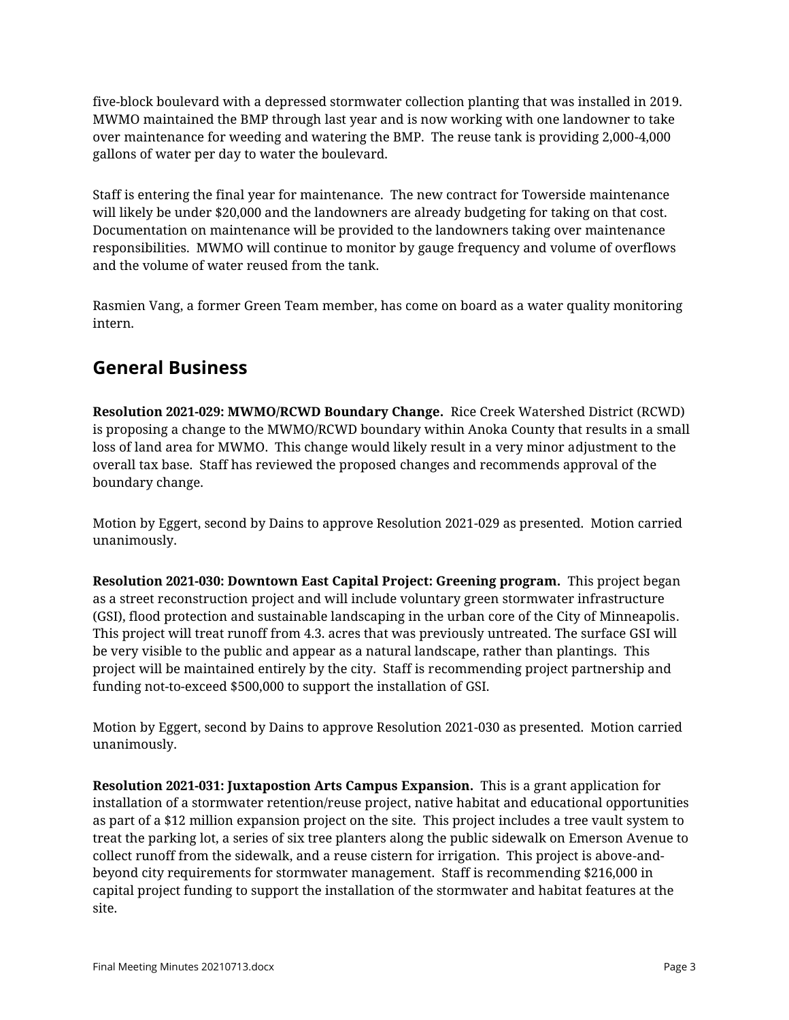five-block boulevard with a depressed stormwater collection planting that was installed in 2019. MWMO maintained the BMP through last year and is now working with one landowner to take over maintenance for weeding and watering the BMP. The reuse tank is providing 2,000-4,000 gallons of water per day to water the boulevard.

Staff is entering the final year for maintenance. The new contract for Towerside maintenance will likely be under \$20,000 and the landowners are already budgeting for taking on that cost. Documentation on maintenance will be provided to the landowners taking over maintenance responsibilities. MWMO will continue to monitor by gauge frequency and volume of overflows and the volume of water reused from the tank.

Rasmien Vang, a former Green Team member, has come on board as a water quality monitoring intern.

#### **General Business**

**Resolution 2021-029: MWMO/RCWD Boundary Change.** Rice Creek Watershed District (RCWD) is proposing a change to the MWMO/RCWD boundary within Anoka County that results in a small loss of land area for MWMO. This change would likely result in a very minor adjustment to the overall tax base. Staff has reviewed the proposed changes and recommends approval of the boundary change.

Motion by Eggert, second by Dains to approve Resolution 2021-029 as presented. Motion carried unanimously.

**Resolution 2021-030: Downtown East Capital Project: Greening program.** This project began as a street reconstruction project and will include voluntary green stormwater infrastructure (GSI), flood protection and sustainable landscaping in the urban core of the City of Minneapolis. This project will treat runoff from 4.3. acres that was previously untreated. The surface GSI will be very visible to the public and appear as a natural landscape, rather than plantings. This project will be maintained entirely by the city. Staff is recommending project partnership and funding not-to-exceed \$500,000 to support the installation of GSI.

Motion by Eggert, second by Dains to approve Resolution 2021-030 as presented. Motion carried unanimously.

**Resolution 2021-031: Juxtapostion Arts Campus Expansion.** This is a grant application for installation of a stormwater retention/reuse project, native habitat and educational opportunities as part of a \$12 million expansion project on the site. This project includes a tree vault system to treat the parking lot, a series of six tree planters along the public sidewalk on Emerson Avenue to collect runoff from the sidewalk, and a reuse cistern for irrigation. This project is above-andbeyond city requirements for stormwater management. Staff is recommending \$216,000 in capital project funding to support the installation of the stormwater and habitat features at the site.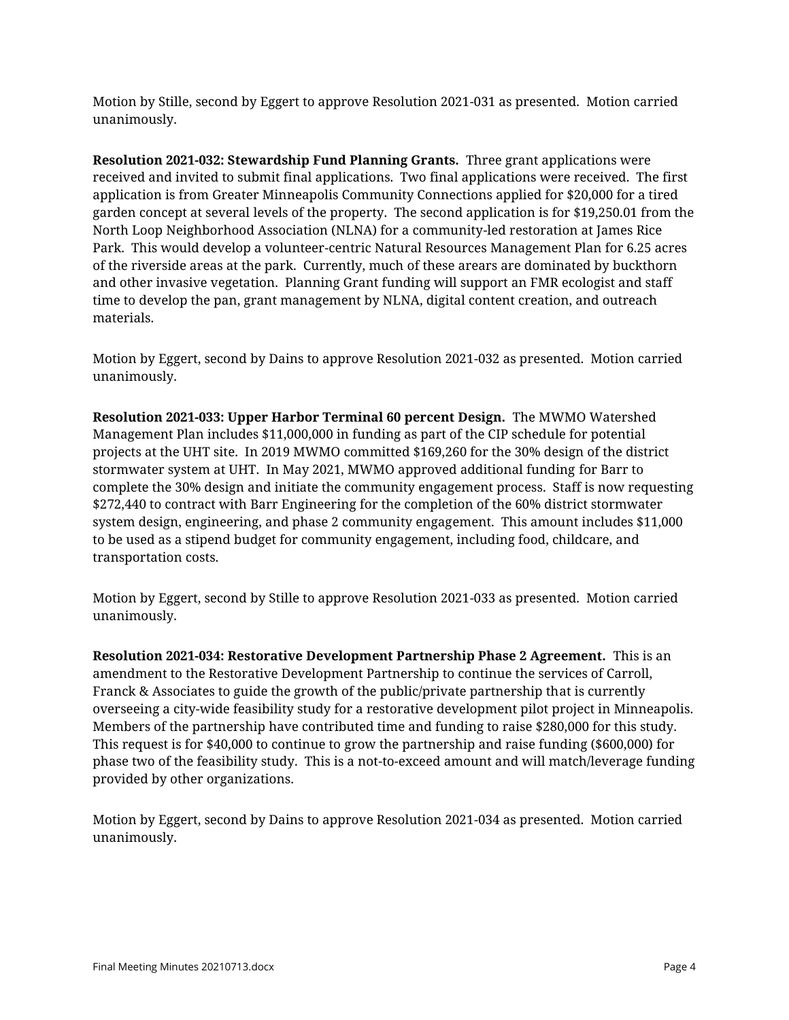Motion by Stille, second by Eggert to approve Resolution 2021-031 as presented. Motion carried unanimously.

**Resolution 2021-032: Stewardship Fund Planning Grants.** Three grant applications were received and invited to submit final applications. Two final applications were received. The first application is from Greater Minneapolis Community Connections applied for \$20,000 for a tired garden concept at several levels of the property. The second application is for \$19,250.01 from the North Loop Neighborhood Association (NLNA) for a community-led restoration at James Rice Park. This would develop a volunteer-centric Natural Resources Management Plan for 6.25 acres of the riverside areas at the park. Currently, much of these arears are dominated by buckthorn and other invasive vegetation. Planning Grant funding will support an FMR ecologist and staff time to develop the pan, grant management by NLNA, digital content creation, and outreach materials.

Motion by Eggert, second by Dains to approve Resolution 2021-032 as presented. Motion carried unanimously.

**Resolution 2021-033: Upper Harbor Terminal 60 percent Design.** The MWMO Watershed Management Plan includes \$11,000,000 in funding as part of the CIP schedule for potential projects at the UHT site. In 2019 MWMO committed \$169,260 for the 30% design of the district stormwater system at UHT. In May 2021, MWMO approved additional funding for Barr to complete the 30% design and initiate the community engagement process. Staff is now requesting \$272,440 to contract with Barr Engineering for the completion of the 60% district stormwater system design, engineering, and phase 2 community engagement. This amount includes \$11,000 to be used as a stipend budget for community engagement, including food, childcare, and transportation costs.

Motion by Eggert, second by Stille to approve Resolution 2021-033 as presented. Motion carried unanimously.

**Resolution 2021-034: Restorative Development Partnership Phase 2 Agreement.** This is an amendment to the Restorative Development Partnership to continue the services of Carroll, Franck & Associates to guide the growth of the public/private partnership that is currently overseeing a city-wide feasibility study for a restorative development pilot project in Minneapolis. Members of the partnership have contributed time and funding to raise \$280,000 for this study. This request is for \$40,000 to continue to grow the partnership and raise funding (\$600,000) for phase two of the feasibility study. This is a not-to-exceed amount and will match/leverage funding provided by other organizations.

Motion by Eggert, second by Dains to approve Resolution 2021-034 as presented. Motion carried unanimously.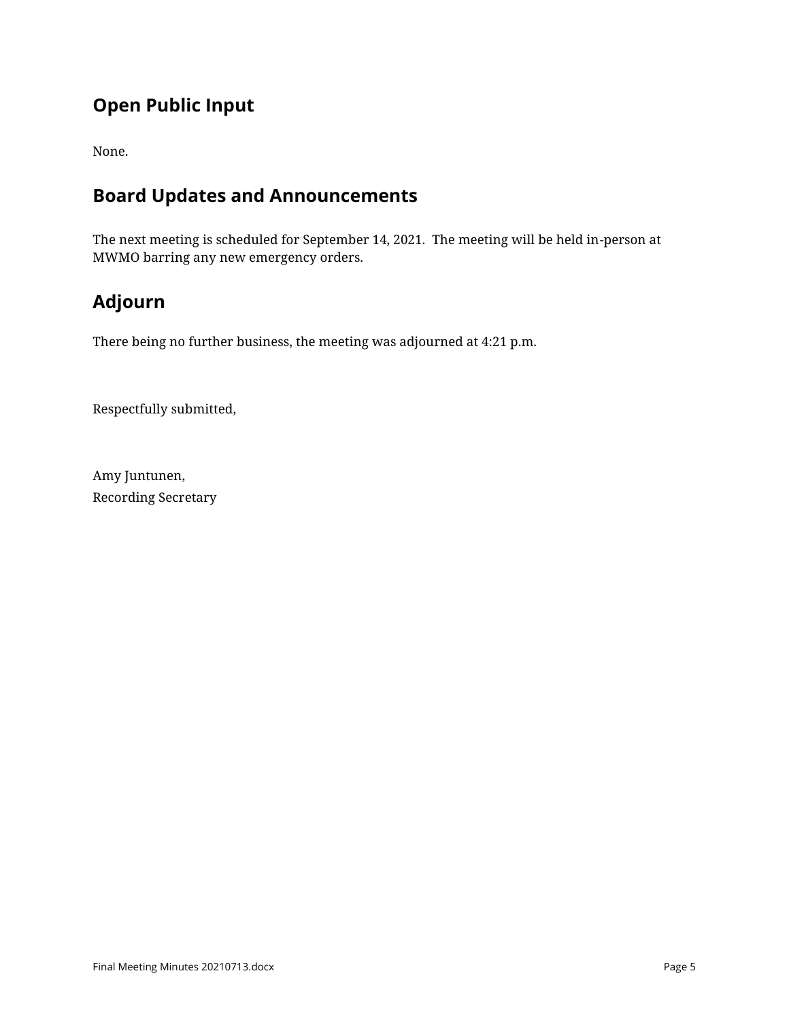# **Open Public Input**

None.

#### **Board Updates and Announcements**

The next meeting is scheduled for September 14, 2021. The meeting will be held in-person at MWMO barring any new emergency orders.

# **Adjourn**

There being no further business, the meeting was adjourned at 4:21 p.m.

Respectfully submitted,

Amy Juntunen, Recording Secretary